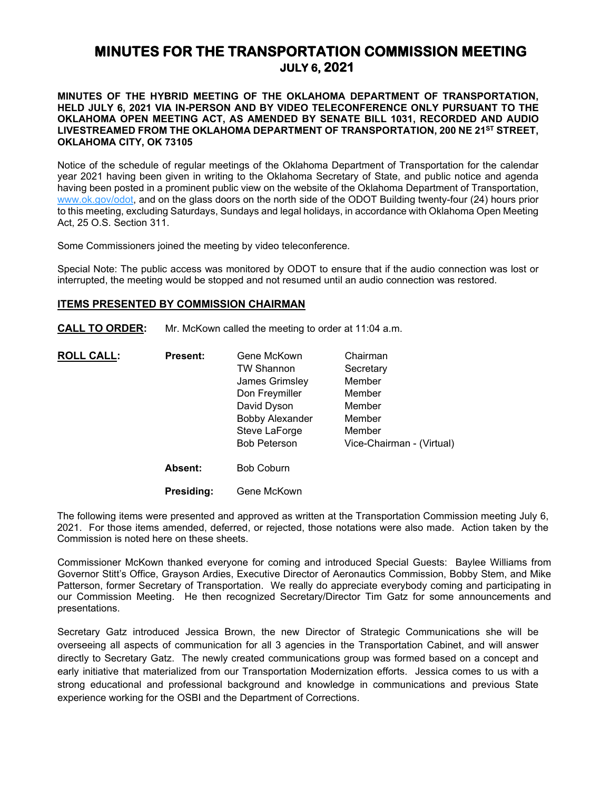# **MINUTES FOR THE TRANSPORTATION COMMISSION MEETING JULY 6, 2021**

## **MINUTES OF THE HYBRID MEETING OF THE OKLAHOMA DEPARTMENT OF TRANSPORTATION, HELD JULY 6, 2021 VIA IN-PERSON AND BY VIDEO TELECONFERENCE ONLY PURSUANT TO THE OKLAHOMA OPEN MEETING ACT, AS AMENDED BY SENATE BILL 1031, RECORDED AND AUDIO LIVESTREAMED FROM THE OKLAHOMA DEPARTMENT OF TRANSPORTATION, 200 NE 21ST STREET, OKLAHOMA CITY, OK 73105**

Notice of the schedule of regular meetings of the Oklahoma Department of Transportation for the calendar year 2021 having been given in writing to the Oklahoma Secretary of State, and public notice and agenda having been posted in a prominent public view on the website of the Oklahoma Department of Transportation, [www.ok.gov/odot,](http://www.ok.gov/odot) and on the glass doors on the north side of the ODOT Building twenty-four (24) hours prior to this meeting, excluding Saturdays, Sundays and legal holidays, in accordance with Oklahoma Open Meeting Act, 25 O.S. Section 311.

Some Commissioners joined the meeting by video teleconference.

Special Note: The public access was monitored by ODOT to ensure that if the audio connection was lost or interrupted, the meeting would be stopped and not resumed until an audio connection was restored.

## **ITEMS PRESENTED BY COMMISSION CHAIRMAN**

**CALL TO ORDER:** Mr. McKown called the meeting to order at 11:04 a.m.

| <b>ROLL CALL:</b> | <b>Present:</b> | Gene McKown                                                              | Chairman                             |                     |                           |                   |  |
|-------------------|-----------------|--------------------------------------------------------------------------|--------------------------------------|---------------------|---------------------------|-------------------|--|
|                   |                 | <b>TW Shannon</b>                                                        | Secretary                            |                     |                           |                   |  |
|                   |                 | James Grimsley                                                           | Member                               |                     |                           |                   |  |
|                   |                 | Don Freymiller<br>David Dyson<br><b>Bobby Alexander</b><br>Steve LaForge | Member<br>Member<br>Member<br>Member |                     |                           |                   |  |
|                   |                 |                                                                          |                                      | <b>Bob Peterson</b> | Vice-Chairman - (Virtual) |                   |  |
|                   |                 |                                                                          |                                      |                     | <b>Absent:</b>            | <b>Bob Coburn</b> |  |

**Presiding:** Gene McKown

The following items were presented and approved as written at the Transportation Commission meeting July 6, 2021. For those items amended, deferred, or rejected, those notations were also made. Action taken by the Commission is noted here on these sheets.

Commissioner McKown thanked everyone for coming and introduced Special Guests: Baylee Williams from Governor Stitt's Office, Grayson Ardies, Executive Director of Aeronautics Commission, Bobby Stem, and Mike Patterson, former Secretary of Transportation. We really do appreciate everybody coming and participating in our Commission Meeting. He then recognized Secretary/Director Tim Gatz for some announcements and presentations.

Secretary Gatz introduced Jessica Brown, the new Director of Strategic Communications she will be overseeing all aspects of communication for all 3 agencies in the Transportation Cabinet, and will answer directly to Secretary Gatz. The newly created communications group was formed based on a concept and early initiative that materialized from our Transportation Modernization efforts. Jessica comes to us with a strong educational and professional background and knowledge in communications and previous State experience working for the OSBI and the Department of Corrections.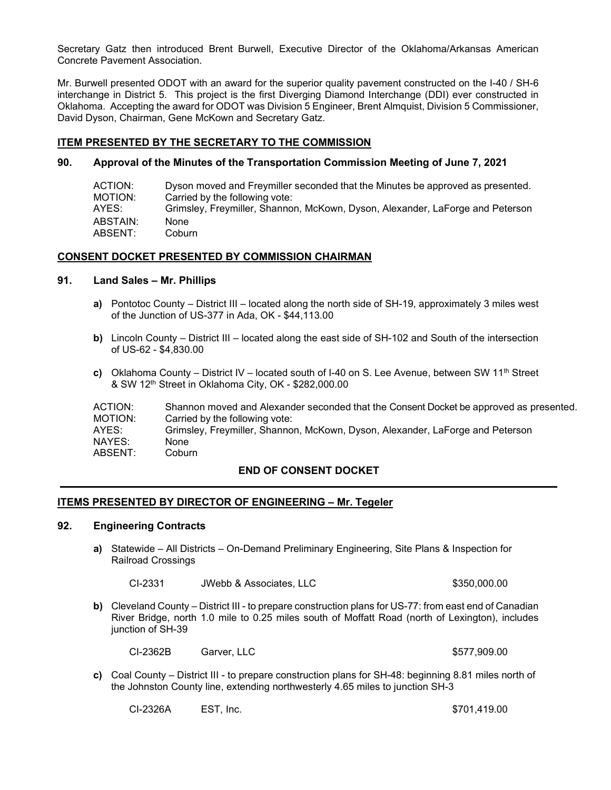Secretary Gatz then introduced Brent Burwell, Executive Director of the Oklahoma/Arkansas American Concrete Pavement Association.

Mr. Burwell presented ODOT with an award for the superior quality pavement constructed on the I-40 / SH-6 interchange in District 5. This project is the first Diverging Diamond Interchange (DDI) ever constructed in Oklahoma. Accepting the award for ODOT was Division 5 Engineer, Brent Almquist, Division 5 Commissioner, David Dyson, Chairman, Gene McKown and Secretary Gatz.

## **ITEM PRESENTED BY THE SECRETARY TO THE COMMISSION**

## **90. Approval of the Minutes of the Transportation Commission Meeting of June 7, 2021**

| ACTION: I | Dyson moved and Freymiller seconded that the Minutes be approved as presented. |
|-----------|--------------------------------------------------------------------------------|
| MOTION:   | Carried by the following vote:                                                 |
| AYES:     | Grimsley, Freymiller, Shannon, McKown, Dyson, Alexander, LaForge and Peterson  |
| ABSTAIN:  | <b>None</b>                                                                    |
| ABSENT:   | Coburn                                                                         |

## **CONSENT DOCKET PRESENTED BY COMMISSION CHAIRMAN**

## **91. Land Sales – Mr. Phillips**

- **a)** Pontotoc County District III located along the north side of SH-19, approximately 3 miles west of the Junction of US-377 in Ada, OK - \$44,113.00
- **b)** Lincoln County District III located along the east side of SH-102 and South of the intersection of US-62 - \$4,830.00
- **c)** Oklahoma County District IV located south of I-40 on S. Lee Avenue, between SW 11th Street & SW 12th Street in Oklahoma City, OK - \$282,000.00

| ACTION: | Shannon moved and Alexander seconded that the Consent Docket be approved as presented. |
|---------|----------------------------------------------------------------------------------------|
| MOTION: | Carried by the following vote:                                                         |
| AYES:   | Grimsley, Freymiller, Shannon, McKown, Dyson, Alexander, LaForge and Peterson          |
| NAYES:  | None                                                                                   |
| ABSENT: | Coburn                                                                                 |

## **END OF CONSENT DOCKET**

## **ITEMS PRESENTED BY DIRECTOR OF ENGINEERING – Mr. Tegeler**

# **92. Engineering Contracts**

**a)** Statewide – All Districts – On-Demand Preliminary Engineering, Site Plans & Inspection for Railroad Crossings

CI-2331 JWebb & Associates, LLC \$350,000.00

**b)** Cleveland County – District III - to prepare construction plans for US-77: from east end of Canadian River Bridge, north 1.0 mile to 0.25 miles south of Moffatt Road (north of Lexington), includes junction of SH-39

CI-2362B Garver, LLC \$577,909.00

**c)** Coal County – District III - to prepare construction plans for SH-48: beginning 8.81 miles north of the Johnston County line, extending northwesterly 4.65 miles to junction SH-3

CI-2326A EST, Inc. \$701,419.00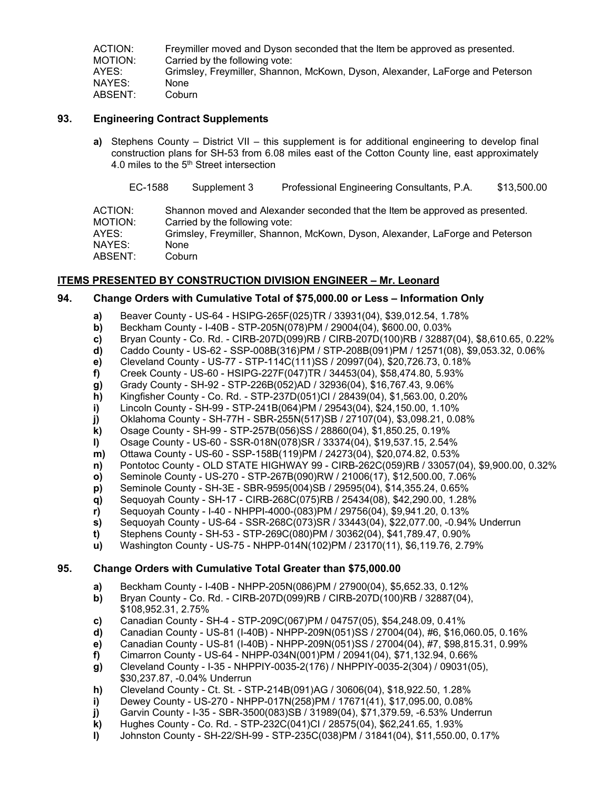| ACTION: | Freymiller moved and Dyson seconded that the Item be approved as presented.   |
|---------|-------------------------------------------------------------------------------|
| MOTION: | Carried by the following vote:                                                |
| AYES:   | Grimsley, Freymiller, Shannon, McKown, Dyson, Alexander, LaForge and Peterson |
| NAYES:  | None                                                                          |
| ABSENT: | Coburn                                                                        |

# **93. Engineering Contract Supplements**

**a)** Stephens County – District VII – this supplement is for additional engineering to develop final construction plans for SH-53 from 6.08 miles east of the Cotton County line, east approximately 4.0 miles to the 5th Street intersection

EC-1588 Supplement 3 Professional Engineering Consultants, P.A. \$13,500.00

ACTION: Shannon moved and Alexander seconded that the Item be approved as presented. MOTION: Carried by the following vote: AYES: Grimsley, Freymiller, Shannon, McKown, Dyson, Alexander, LaForge and Peterson NAYES: None ABSENT: Coburn

## **ITEMS PRESENTED BY CONSTRUCTION DIVISION ENGINEER – Mr. Leonard**

## **94. Change Orders with Cumulative Total of \$75,000.00 or Less – Information Only**

- **a)** Beaver County US-64 HSIPG-265F(025)TR / 33931(04), \$39,012.54, 1.78%
- **b)** Beckham County I-40B STP-205N(078)PM / 29004(04), \$600.00, 0.03%
- **c)** Bryan County Co. Rd. CIRB-207D(099)RB / CIRB-207D(100)RB / 32887(04), \$8,610.65, 0.22%
- **d)** Caddo County US-62 SSP-008B(316)PM / STP-208B(091)PM / 12571(08), \$9,053.32, 0.06%
- **e)** Cleveland County US-77 STP-114C(111)SS / 20997(04), \$20,726.73, 0.18%
- **f)** Creek County US-60 HSIPG-227F(047)TR / 34453(04), \$58,474.80, 5.93%
- **g)** Grady County SH-92 STP-226B(052)AD / 32936(04), \$16,767.43, 9.06%
- **h)** Kingfisher County Co. Rd. STP-237D(051)CI / 28439(04), \$1,563.00, 0.20%
- **i)** Lincoln County SH-99 STP-241B(064)PM / 29543(04), \$24,150.00, 1.10%
- **j)** Oklahoma County SH-77H SBR-255N(517)SB / 27107(04), \$3,098.21, 0.08%
- **k)** Osage County SH-99 STP-257B(056)SS / 28860(04), \$1,850.25, 0.19%
- **l)** Osage County US-60 SSR-018N(078)SR / 33374(04), \$19,537.15, 2.54%
- **m)** Ottawa County US-60 SSP-158B(119)PM / 24273(04), \$20,074.82, 0.53%
- **n)** Pontotoc County OLD STATE HIGHWAY 99 CIRB-262C(059)RB / 33057(04), \$9,900.00, 0.32%
- **o)** Seminole County US-270 STP-267B(090)RW / 21006(17), \$12,500.00, 7.06%
- **p)** Seminole County SH-3E SBR-9595(004)SB / 29595(04), \$14,355.24, 0.65%
- **q)** Sequoyah County SH-17 CIRB-268C(075)RB / 25434(08), \$42,290.00, 1.28%
- **r)** Sequoyah County I-40 NHPPI-4000-(083)PM / 29756(04), \$9,941.20, 0.13%
- **s)** Sequoyah County US-64 SSR-268C(073)SR / 33443(04), \$22,077.00, -0.94% Underrun
- **t)** Stephens County SH-53 STP-269C(080)PM / 30362(04), \$41,789.47, 0.90%
- **u)** Washington County US-75 NHPP-014N(102)PM / 23170(11), \$6,119.76, 2.79%

# **95. Change Orders with Cumulative Total Greater than \$75,000.00**

- **a)** Beckham County I-40B NHPP-205N(086)PM / 27900(04), \$5,652.33, 0.12%
- **b)** Bryan County Co. Rd. CIRB-207D(099)RB / CIRB-207D(100)RB / 32887(04), \$108,952.31, 2.75%
- **c)** Canadian County SH-4 STP-209C(067)PM / 04757(05), \$54,248.09, 0.41%
- **d)** Canadian County US-81 (I-40B) NHPP-209N(051)SS / 27004(04), #6, \$16,060.05, 0.16%
- **e)** Canadian County US-81 (I-40B) NHPP-209N(051)SS / 27004(04), #7, \$98,815.31, 0.99%
- **f)** Cimarron County US-64 NHPP-034N(001)PM / 20941(04), \$71,132.94, 0.66%
- **g)** Cleveland County I-35 NHPPIY-0035-2(176) / NHPPIY-0035-2(304) / 09031(05), \$30,237.87, -0.04% Underrun
- 
- **h)** Cleveland County Ct. St. STP-214B(091)AG / 30606(04), \$18,922.50, 1.28%
- **i)** Dewey County US-270 NHPP-017N(258)PM / 17671(41), \$17,095.00, 0.08%<br>**j)** Garvin County I-35 SBR-3500(083)SB / 31989(04), \$71,379.59, -6.53% Unde **j)** Garvin County - I-35 - SBR-3500(083)SB / 31989(04), \$71,379.59, -6.53% Underrun
- **k)** Hughes County Co. Rd. STP-232C(041)CI / 28575(04), \$62,241.65, 1.93%
- **l)** Johnston County SH-22/SH-99 STP-235C(038)PM / 31841(04), \$11,550.00, 0.17%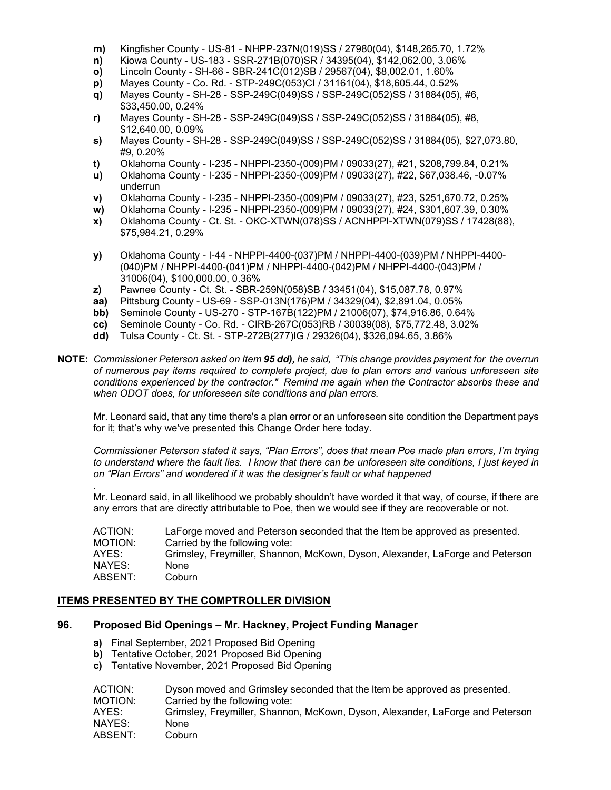- **m)** Kingfisher County US-81 NHPP-237N(019)SS / 27980(04), \$148,265.70, 1.72%
- **n)** Kiowa County US-183 SSR-271B(070)SR / 34395(04), \$142,062.00, 3.06%
- **o)** Lincoln County SH-66 SBR-241C(012)SB / 29567(04), \$8,002.01, 1.60%
- **p)** Mayes County Co. Rd. STP-249C(053)CI / 31161(04), \$18,605.44, 0.52%
- **q)** Mayes County SH-28 SSP-249C(049)SS / SSP-249C(052)SS / 31884(05), #6, \$33,450.00, 0.24%
- **r)** Mayes County SH-28 SSP-249C(049)SS / SSP-249C(052)SS / 31884(05), #8, \$12,640.00, 0.09%
- **s)** Mayes County SH-28 SSP-249C(049)SS / SSP-249C(052)SS / 31884(05), \$27,073.80, #9, 0.20%
- **t)** Oklahoma County I-235 NHPPI-2350-(009)PM / 09033(27), #21, \$208,799.84, 0.21%
- **u)** Oklahoma County I-235 NHPPI-2350-(009)PM / 09033(27), #22, \$67,038.46, -0.07% underrun
- **v)** Oklahoma County I-235 NHPPI-2350-(009)PM / 09033(27), #23, \$251,670.72, 0.25%
- **w)** Oklahoma County I-235 NHPPI-2350-(009)PM / 09033(27), #24, \$301,607.39, 0.30%
- **x)** Oklahoma County Ct. St. OKC-XTWN(078)SS / ACNHPPI-XTWN(079)SS / 17428(88), \$75,984.21, 0.29%
- **y)** Oklahoma County I-44 NHPPI-4400-(037)PM / NHPPI-4400-(039)PM / NHPPI-4400- (040)PM / NHPPI-4400-(041)PM / NHPPI-4400-(042)PM / NHPPI-4400-(043)PM / 31006(04), \$100,000.00, 0.36%
- **z)** Pawnee County Ct. St. SBR-259N(058)SB / 33451(04), \$15,087.78, 0.97%
- **aa)** Pittsburg County US-69 SSP-013N(176)PM / 34329(04), \$2,891.04, 0.05%
- **bb)** Seminole County US-270 STP-167B(122)PM / 21006(07), \$74,916.86, 0.64%
- **cc)** Seminole County Co. Rd. CIRB-267C(053)RB / 30039(08), \$75,772.48, 3.02%
- **dd)** Tulsa County Ct. St. STP-272B(277)IG / 29326(04), \$326,094.65, 3.86%

**NOTE:** *Commissioner Peterson asked on Item 95 dd), he said, "This change provides payment for the overrun of numerous pay items required to complete project, due to plan errors and various unforeseen site conditions experienced by the contractor." Remind me again when the Contractor absorbs these and when ODOT does, for unforeseen site conditions and plan errors.*

Mr. Leonard said, that any time there's a plan error or an unforeseen site condition the Department pays for it; that's why we've presented this Change Order here today.

*Commissioner Peterson stated it says, "Plan Errors", does that mean Poe made plan errors, I'm trying to understand where the fault lies. I know that there can be unforeseen site conditions, I just keyed in on "Plan Errors" and wondered if it was the designer's fault or what happened*

*.* Mr. Leonard said, in all likelihood we probably shouldn't have worded it that way, of course, if there are any errors that are directly attributable to Poe, then we would see if they are recoverable or not.

| ACTION: | LaForge moved and Peterson seconded that the Item be approved as presented.   |
|---------|-------------------------------------------------------------------------------|
| MOTION: | Carried by the following vote:                                                |
| AYES:   | Grimsley, Freymiller, Shannon, McKown, Dyson, Alexander, LaForge and Peterson |
| NAYES:  | <b>None</b>                                                                   |
| ABSENT: | Coburn                                                                        |
|         |                                                                               |

# **ITEMS PRESENTED BY THE COMPTROLLER DIVISION**

# **96. Proposed Bid Openings – Mr. Hackney, Project Funding Manager**

- **a)** Final September, 2021 Proposed Bid Opening
- **b)** Tentative October, 2021 Proposed Bid Opening
- **c)** Tentative November, 2021 Proposed Bid Opening

| ACTION: | Dyson moved and Grimsley seconded that the Item be approved as presented.     |
|---------|-------------------------------------------------------------------------------|
| MOTION: | Carried by the following vote:                                                |
| AYES:   | Grimsley, Freymiller, Shannon, McKown, Dyson, Alexander, LaForge and Peterson |
| NAYES:  | None                                                                          |
| ABSENT: | Coburn                                                                        |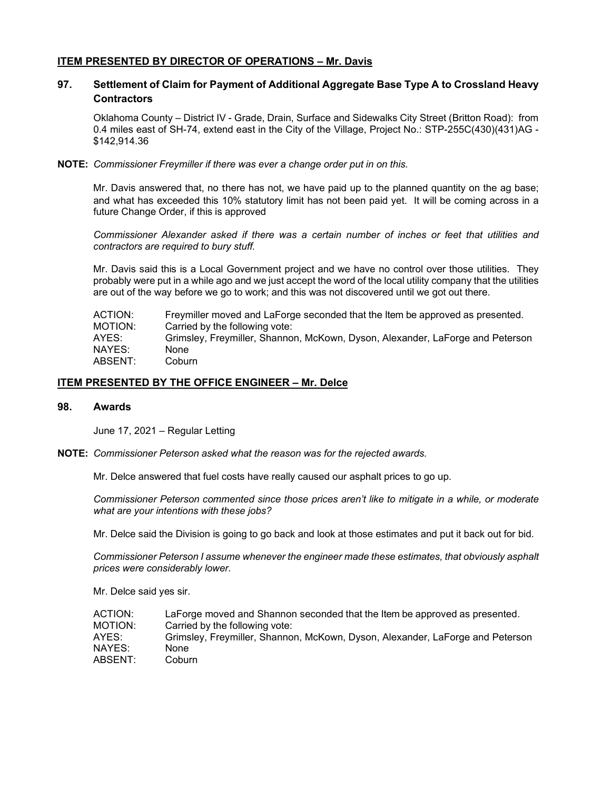## **ITEM PRESENTED BY DIRECTOR OF OPERATIONS – Mr. Davis**

# **97. Settlement of Claim for Payment of Additional Aggregate Base Type A to Crossland Heavy Contractors**

Oklahoma County – District IV - Grade, Drain, Surface and Sidewalks City Street (Britton Road): from 0.4 miles east of SH-74, extend east in the City of the Village, Project No.: STP-255C(430)(431)AG - \$142,914.36

**NOTE:** *Commissioner Freymiller if there was ever a change order put in on this.*

Mr. Davis answered that, no there has not, we have paid up to the planned quantity on the ag base; and what has exceeded this 10% statutory limit has not been paid yet. It will be coming across in a future Change Order, if this is approved

*Commissioner Alexander asked if there was a certain number of inches or feet that utilities and contractors are required to bury stuff.*

Mr. Davis said this is a Local Government project and we have no control over those utilities. They probably were put in a while ago and we just accept the word of the local utility company that the utilities are out of the way before we go to work; and this was not discovered until we got out there.

| Freymiller moved and LaForge seconded that the Item be approved as presented. |
|-------------------------------------------------------------------------------|
| Carried by the following vote:                                                |
| Grimsley, Freymiller, Shannon, McKown, Dyson, Alexander, LaForge and Peterson |
| None                                                                          |
| Coburn                                                                        |
|                                                                               |

## **ITEM PRESENTED BY THE OFFICE ENGINEER – Mr. Delce**

#### **98. Awards**

June 17, 2021 – Regular Letting

**NOTE:** *Commissioner Peterson asked what the reason was for the rejected awards.*

Mr. Delce answered that fuel costs have really caused our asphalt prices to go up.

*Commissioner Peterson commented since those prices aren't like to mitigate in a while, or moderate what are your intentions with these jobs?*

Mr. Delce said the Division is going to go back and look at those estimates and put it back out for bid.

*Commissioner Peterson I assume whenever the engineer made these estimates, that obviously asphalt prices were considerably lower.*

Mr. Delce said yes sir.

| ACTION: | LaForge moved and Shannon seconded that the Item be approved as presented.    |
|---------|-------------------------------------------------------------------------------|
| MOTION: | Carried by the following vote:                                                |
| AYES:   | Grimsley, Freymiller, Shannon, McKown, Dyson, Alexander, LaForge and Peterson |
| NAYES:  | None                                                                          |
| ABSENT: | Coburn                                                                        |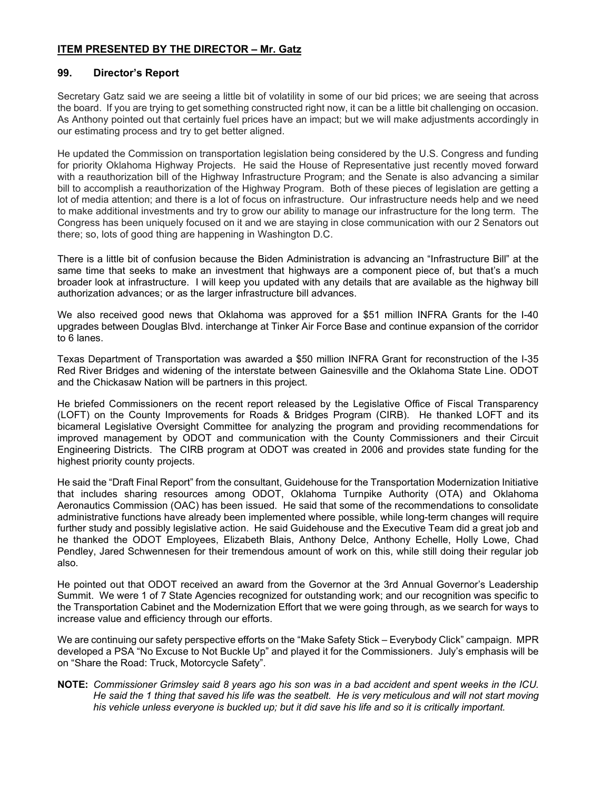# **ITEM PRESENTED BY THE DIRECTOR – Mr. Gatz**

## **99. Director's Report**

Secretary Gatz said we are seeing a little bit of volatility in some of our bid prices; we are seeing that across the board. If you are trying to get something constructed right now, it can be a little bit challenging on occasion. As Anthony pointed out that certainly fuel prices have an impact; but we will make adjustments accordingly in our estimating process and try to get better aligned.

He updated the Commission on transportation legislation being considered by the U.S. Congress and funding for priority Oklahoma Highway Projects. He said the House of Representative just recently moved forward with a reauthorization bill of the Highway Infrastructure Program; and the Senate is also advancing a similar bill to accomplish a reauthorization of the Highway Program. Both of these pieces of legislation are getting a lot of media attention; and there is a lot of focus on infrastructure. Our infrastructure needs help and we need to make additional investments and try to grow our ability to manage our infrastructure for the long term. The Congress has been uniquely focused on it and we are staying in close communication with our 2 Senators out there; so, lots of good thing are happening in Washington D.C.

There is a little bit of confusion because the Biden Administration is advancing an "Infrastructure Bill" at the same time that seeks to make an investment that highways are a component piece of, but that's a much broader look at infrastructure. I will keep you updated with any details that are available as the highway bill authorization advances; or as the larger infrastructure bill advances.

We also received good news that Oklahoma was approved for a \$51 million INFRA Grants for the I-40 upgrades between Douglas Blvd. interchange at Tinker Air Force Base and continue expansion of the corridor to 6 lanes.

Texas Department of Transportation was awarded a \$50 million INFRA Grant for reconstruction of the I-35 Red River Bridges and widening of the interstate between Gainesville and the Oklahoma State Line. ODOT and the Chickasaw Nation will be partners in this project.

He briefed Commissioners on the recent report released by the Legislative Office of Fiscal Transparency (LOFT) on the County Improvements for Roads & Bridges Program (CIRB). He thanked LOFT and its bicameral Legislative Oversight Committee for analyzing the program and providing recommendations for improved management by ODOT and communication with the County Commissioners and their Circuit Engineering Districts. The CIRB program at ODOT was created in 2006 and provides state funding for the highest priority county projects.

He said the "Draft Final Report" from the consultant, Guidehouse for the Transportation Modernization Initiative that includes sharing resources among ODOT, Oklahoma Turnpike Authority (OTA) and Oklahoma Aeronautics Commission (OAC) has been issued. He said that some of the recommendations to consolidate administrative functions have already been implemented where possible, while long-term changes will require further study and possibly legislative action. He said Guidehouse and the Executive Team did a great job and he thanked the ODOT Employees, Elizabeth Blais, Anthony Delce, Anthony Echelle, Holly Lowe, Chad Pendley, Jared Schwennesen for their tremendous amount of work on this, while still doing their regular job also.

He pointed out that ODOT received an award from the Governor at the 3rd Annual Governor's Leadership Summit. We were 1 of 7 State Agencies recognized for outstanding work; and our recognition was specific to the Transportation Cabinet and the Modernization Effort that we were going through, as we search for ways to increase value and efficiency through our efforts.

We are continuing our safety perspective efforts on the "Make Safety Stick – Everybody Click" campaign. MPR developed a PSA "No Excuse to Not Buckle Up" and played it for the Commissioners. July's emphasis will be on "Share the Road: Truck, Motorcycle Safety".

**NOTE:** *Commissioner Grimsley said 8 years ago his son was in a bad accident and spent weeks in the ICU. He said the 1 thing that saved his life was the seatbelt. He is very meticulous and will not start moving his vehicle unless everyone is buckled up; but it did save his life and so it is critically important.*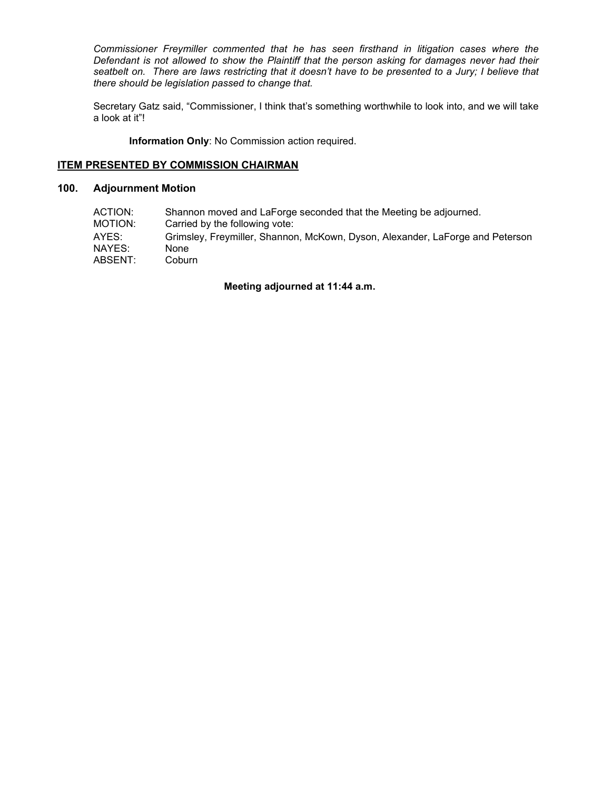*Commissioner Freymiller commented that he has seen firsthand in litigation cases where the Defendant is not allowed to show the Plaintiff that the person asking for damages never had their seatbelt on. There are laws restricting that it doesn't have to be presented to a Jury; I believe that there should be legislation passed to change that.* 

Secretary Gatz said, "Commissioner, I think that's something worthwhile to look into, and we will take a look at it"!

**Information Only**: No Commission action required.

## **ITEM PRESENTED BY COMMISSION CHAIRMAN**

# **100. Adjournment Motion**

| ACTION: | Shannon moved and LaForge seconded that the Meeting be adjourned.             |
|---------|-------------------------------------------------------------------------------|
| MOTION: | Carried by the following vote:                                                |
| AYES:   | Grimsley, Freymiller, Shannon, McKown, Dyson, Alexander, LaForge and Peterson |
| NAYES:  | None                                                                          |
| ABSENT: | Coburn                                                                        |

## **Meeting adjourned at 11:44 a.m.**